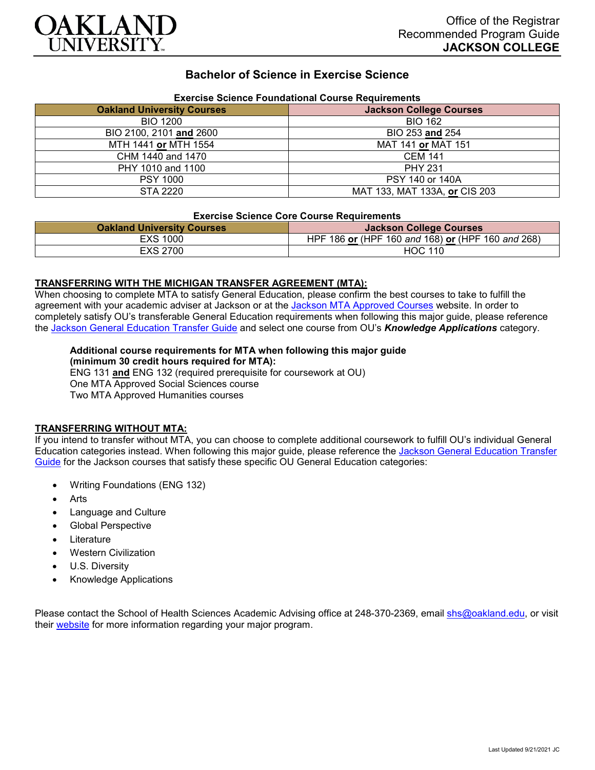

## **Bachelor of Science in Exercise Science**

| Exercise Science Foundational Course Requirements |                                |
|---------------------------------------------------|--------------------------------|
| <b>Oakland University Courses</b>                 | <b>Jackson College Courses</b> |
| <b>BIO 1200</b>                                   | <b>BIO 162</b>                 |
| BIO 2100, 2101 and 2600                           | BIO 253 and 254                |
| MTH 1441 or MTH 1554                              | MAT 141 or MAT 151             |
| CHM 1440 and 1470                                 | <b>CEM 141</b>                 |
| PHY 1010 and 1100                                 | <b>PHY 231</b>                 |
| <b>PSY 1000</b>                                   | PSY 140 or 140A                |
| STA 2220                                          | MAT 133, MAT 133A, or CIS 203  |

# **Exercise Science Foundational Course Requirements**

#### **Exercise Science Core Course Requirements**

| <b>Oakland University Courses</b> | <b>Jackson College Courses</b>                    |
|-----------------------------------|---------------------------------------------------|
| EXS 1000                          | HPF 186 or (HPF 160 and 168) or (HPF 160 and 268) |
| EXS 2700                          | <b>HOC 110</b>                                    |

#### **TRANSFERRING WITH THE MICHIGAN TRANSFER AGREEMENT (MTA):**

When choosing to complete MTA to satisfy General Education, please confirm the best courses to take to fulfill the agreement with your academic adviser at Jackson or at the Jackson [MTA Approved Courses](https://www.jccmi.edu/transfer/michigan-transfer-agreement/) website. In order to completely satisfy OU's transferable General Education requirements when following this major guide, please reference the [Jackson General Education Transfer Guide](https://www.oakland.edu/Assets/Oakland/program-guides/jackson-college/university-general-education-requirements/Jackson%20Gen%20Ed.pdf) and select one course from OU's *Knowledge Applications* category.

# **Additional course requirements for MTA when following this major guide**

**(minimum 30 credit hours required for MTA):** ENG 131 **and** ENG 132 (required prerequisite for coursework at OU) One MTA Approved Social Sciences course Two MTA Approved Humanities courses

## **TRANSFERRING WITHOUT MTA:**

If you intend to transfer without MTA, you can choose to complete additional coursework to fulfill OU's individual General Education categories instead. When following this major guide, please reference the [Jackson General Education Transfer](https://www.oakland.edu/Assets/Oakland/program-guides/jackson-college/university-general-education-requirements/Jackson%20Gen%20Ed.pdf)  [Guide](https://www.oakland.edu/Assets/Oakland/program-guides/jackson-college/university-general-education-requirements/Jackson%20Gen%20Ed.pdf) for the Jackson courses that satisfy these specific OU General Education categories:

- Writing Foundations (ENG 132)
- **Arts**
- Language and Culture
- Global Perspective
- **Literature**
- Western Civilization
- U.S. Diversity
- Knowledge Applications

Please contact the School of Health Sciences Academic Advising office at 248-370-2369, email [shs@oakland.edu,](mailto:shs@oakland.edu) or visit their [website](http://www.oakland.edu/shs/advising) for more information regarding your major program.